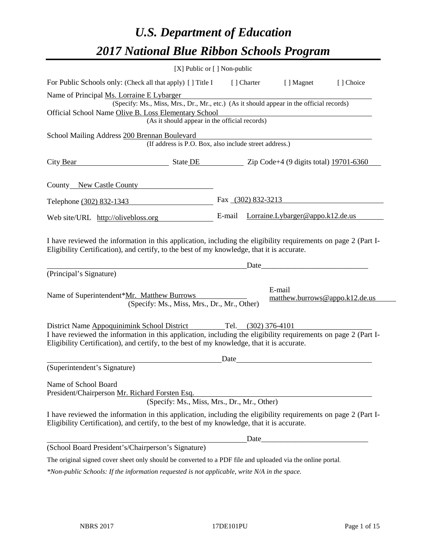# *U.S. Department of Education 2017 National Blue Ribbon Schools Program*

| [X] Public or [] Non-public                                                                                                                                                                                                                                                     |        |                    |                                          |           |
|---------------------------------------------------------------------------------------------------------------------------------------------------------------------------------------------------------------------------------------------------------------------------------|--------|--------------------|------------------------------------------|-----------|
| For Public Schools only: (Check all that apply) [ ] Title I                                                                                                                                                                                                                     |        | [] Charter         | [ ] Magnet                               | [] Choice |
| Name of Principal Ms. Lorraine E Lybarger<br>(Specify: Ms., Miss, Mrs., Dr., Mr., etc.) (As it should appear in the official records)<br>Official School Name Olive B. Loss Elementary School<br>(As it should appear in the official records)                                  |        |                    |                                          |           |
| School Mailing Address 200 Brennan Boulevard<br>(If address is P.O. Box, also include street address.)                                                                                                                                                                          |        |                    |                                          |           |
| City Bear<br>$\blacksquare$ State DE $\blacksquare$ Zip Code+4 (9 digits total) 19701-6360                                                                                                                                                                                      |        |                    |                                          |           |
| County New Castle County                                                                                                                                                                                                                                                        |        |                    |                                          |           |
| Telephone (302) 832-1343                                                                                                                                                                                                                                                        |        | Fax (302) 832-3213 |                                          |           |
| Web site/URL http://olivebloss.org                                                                                                                                                                                                                                              | E-mail |                    | Lorraine.Lybarger@appo.k12.de.us         |           |
| I have reviewed the information in this application, including the eligibility requirements on page 2 (Part I-<br>Eligibility Certification), and certify, to the best of my knowledge, that it is accurate.                                                                    |        | Date               |                                          |           |
| (Principal's Signature)                                                                                                                                                                                                                                                         |        |                    |                                          |           |
| Name of Superintendent*Mr. Matthew Burrows<br>(Specify: Ms., Miss, Mrs., Dr., Mr., Other)                                                                                                                                                                                       |        |                    | E-mail<br>matthew.burrows@appo.k12.de.us |           |
| District Name Appoquinimink School District Tel. (302) 376-4101<br>I have reviewed the information in this application, including the eligibility requirements on page 2 (Part I-<br>Eligibility Certification), and certify, to the best of my knowledge, that it is accurate. |        |                    |                                          |           |
| (Superintendent's Signature)                                                                                                                                                                                                                                                    | Date   |                    |                                          |           |
| Name of School Board<br>President/Chairperson Mr. Richard Forsten Esq.<br>(Specify: Ms., Miss, Mrs., Dr., Mr., Other)                                                                                                                                                           |        |                    |                                          |           |
| I have reviewed the information in this application, including the eligibility requirements on page 2 (Part I-<br>Eligibility Certification), and certify, to the best of my knowledge, that it is accurate.                                                                    |        |                    |                                          |           |
|                                                                                                                                                                                                                                                                                 |        |                    |                                          |           |
| (School Board President's/Chairperson's Signature)                                                                                                                                                                                                                              |        |                    |                                          |           |
| The original signed cover sheet only should be converted to a PDF file and uploaded via the online portal.                                                                                                                                                                      |        |                    |                                          |           |

*\*Non-public Schools: If the information requested is not applicable, write N/A in the space.*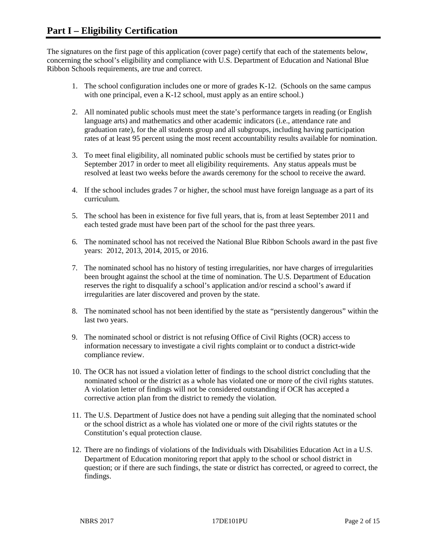The signatures on the first page of this application (cover page) certify that each of the statements below, concerning the school's eligibility and compliance with U.S. Department of Education and National Blue Ribbon Schools requirements, are true and correct.

- 1. The school configuration includes one or more of grades K-12. (Schools on the same campus with one principal, even a K-12 school, must apply as an entire school.)
- 2. All nominated public schools must meet the state's performance targets in reading (or English language arts) and mathematics and other academic indicators (i.e., attendance rate and graduation rate), for the all students group and all subgroups, including having participation rates of at least 95 percent using the most recent accountability results available for nomination.
- 3. To meet final eligibility, all nominated public schools must be certified by states prior to September 2017 in order to meet all eligibility requirements. Any status appeals must be resolved at least two weeks before the awards ceremony for the school to receive the award.
- 4. If the school includes grades 7 or higher, the school must have foreign language as a part of its curriculum.
- 5. The school has been in existence for five full years, that is, from at least September 2011 and each tested grade must have been part of the school for the past three years.
- 6. The nominated school has not received the National Blue Ribbon Schools award in the past five years: 2012, 2013, 2014, 2015, or 2016.
- 7. The nominated school has no history of testing irregularities, nor have charges of irregularities been brought against the school at the time of nomination. The U.S. Department of Education reserves the right to disqualify a school's application and/or rescind a school's award if irregularities are later discovered and proven by the state.
- 8. The nominated school has not been identified by the state as "persistently dangerous" within the last two years.
- 9. The nominated school or district is not refusing Office of Civil Rights (OCR) access to information necessary to investigate a civil rights complaint or to conduct a district-wide compliance review.
- 10. The OCR has not issued a violation letter of findings to the school district concluding that the nominated school or the district as a whole has violated one or more of the civil rights statutes. A violation letter of findings will not be considered outstanding if OCR has accepted a corrective action plan from the district to remedy the violation.
- 11. The U.S. Department of Justice does not have a pending suit alleging that the nominated school or the school district as a whole has violated one or more of the civil rights statutes or the Constitution's equal protection clause.
- 12. There are no findings of violations of the Individuals with Disabilities Education Act in a U.S. Department of Education monitoring report that apply to the school or school district in question; or if there are such findings, the state or district has corrected, or agreed to correct, the findings.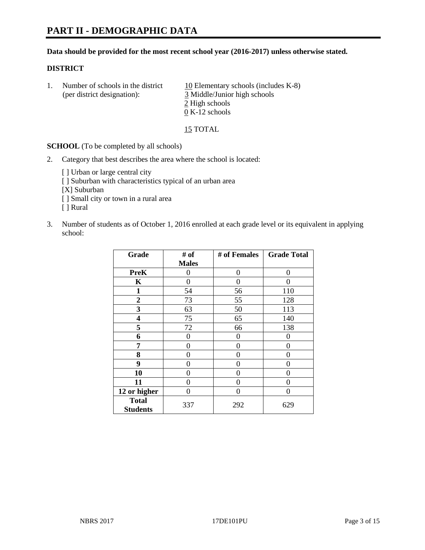# **PART II - DEMOGRAPHIC DATA**

#### **Data should be provided for the most recent school year (2016-2017) unless otherwise stated.**

#### **DISTRICT**

1. Number of schools in the district  $10$  Elementary schools (includes K-8) (per district designation): 3 Middle/Junior high schools 2 High schools 0 K-12 schools

15 TOTAL

**SCHOOL** (To be completed by all schools)

- 2. Category that best describes the area where the school is located:
	- [] Urban or large central city [ ] Suburban with characteristics typical of an urban area [X] Suburban [ ] Small city or town in a rural area [ ] Rural
- 3. Number of students as of October 1, 2016 enrolled at each grade level or its equivalent in applying school:

| Grade                           | # of         | # of Females | <b>Grade Total</b> |
|---------------------------------|--------------|--------------|--------------------|
|                                 | <b>Males</b> |              |                    |
| <b>PreK</b>                     | 0            | 0            | 0                  |
| K                               | 0            | 0            | 0                  |
| $\mathbf{1}$                    | 54           | 56           | 110                |
| $\overline{2}$                  | 73           | 55           | 128                |
| 3                               | 63           | 50           | 113                |
| 4                               | 75           | 65           | 140                |
| 5                               | 72           | 66           | 138                |
| 6                               | 0            | 0            | 0                  |
| 7                               | 0            | 0            | 0                  |
| 8                               | 0            | $\theta$     | 0                  |
| 9                               | 0            | 0            | 0                  |
| 10                              | $\theta$     | 0            | 0                  |
| 11                              | 0            | 0            | 0                  |
| 12 or higher                    | 0            | 0            | $\Omega$           |
| <b>Total</b><br><b>Students</b> | 337          | 292          | 629                |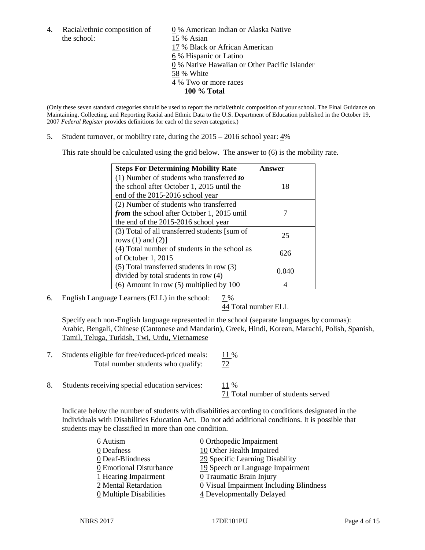the school: 15 % Asian

4. Racial/ethnic composition of  $\qquad 0 \%$  American Indian or Alaska Native 17 % Black or African American 6 % Hispanic or Latino 0 % Native Hawaiian or Other Pacific Islander 58 % White 4 % Two or more races **100 % Total**

(Only these seven standard categories should be used to report the racial/ethnic composition of your school. The Final Guidance on Maintaining, Collecting, and Reporting Racial and Ethnic Data to the U.S. Department of Education published in the October 19, 2007 *Federal Register* provides definitions for each of the seven categories.)

5. Student turnover, or mobility rate, during the 2015 – 2016 school year: 4%

This rate should be calculated using the grid below. The answer to (6) is the mobility rate.

| <b>Steps For Determining Mobility Rate</b>         | Answer |  |
|----------------------------------------------------|--------|--|
| $(1)$ Number of students who transferred to        |        |  |
| the school after October 1, 2015 until the         | 18     |  |
| end of the 2015-2016 school year                   |        |  |
| (2) Number of students who transferred             |        |  |
| <i>from</i> the school after October 1, 2015 until |        |  |
| the end of the 2015-2016 school year               |        |  |
| (3) Total of all transferred students [sum of      | 25     |  |
| rows $(1)$ and $(2)$ ]                             |        |  |
| (4) Total number of students in the school as      | 626    |  |
| of October 1, 2015                                 |        |  |
| $(5)$ Total transferred students in row $(3)$      |        |  |
| divided by total students in row (4)               | 0.040  |  |
| $(6)$ Amount in row $(5)$ multiplied by 100        |        |  |

6. English Language Learners (ELL) in the school:  $7\%$ 

44 Total number ELL

Specify each non-English language represented in the school (separate languages by commas): Arabic, Bengali, Chinese (Cantonese and Mandarin), Greek, Hindi, Korean, Marachi, Polish, Spanish, Tamil, Teluga, Turkish, Twi, Urdu, Vietnamese

- 7. Students eligible for free/reduced-priced meals:  $\frac{11\%}{72}$ <br>Total number students who qualify:  $\frac{11\%}{72}$ Total number students who qualify:
- 8. Students receiving special education services:  $11\%$ 71 Total number of students served

Indicate below the number of students with disabilities according to conditions designated in the Individuals with Disabilities Education Act. Do not add additional conditions. It is possible that students may be classified in more than one condition.

| 6 Autism                              | 0 Orthopedic Impairment                   |
|---------------------------------------|-------------------------------------------|
| 0 Deafness                            | 10 Other Health Impaired                  |
| 0 Deaf-Blindness                      | 29 Specific Learning Disability           |
| 0 Emotional Disturbance               | 19 Speech or Language Impairment          |
| 1 Hearing Impairment                  | 0 Traumatic Brain Injury                  |
| 2 Mental Retardation                  | $Q$ Visual Impairment Including Blindness |
| $\underline{0}$ Multiple Disabilities | 4 Developmentally Delayed                 |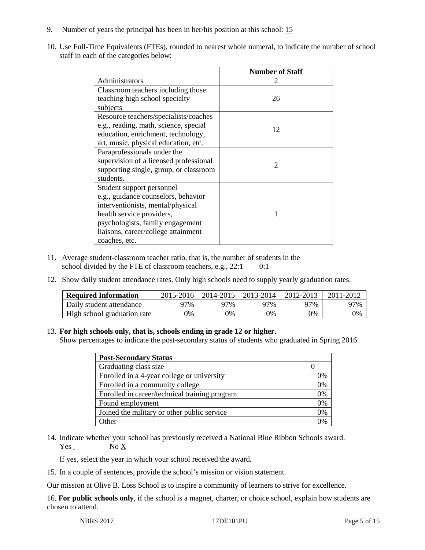- 9. Number of years the principal has been in her/his position at this school: 15
- 10. Use Full-Time Equivalents (FTEs), rounded to nearest whole numeral, to indicate the number of school staff in each of the categories below:

|                                        | <b>Number of Staff</b> |
|----------------------------------------|------------------------|
| Administrators                         |                        |
| Classroom teachers including those     |                        |
| teaching high school specialty         | 26                     |
| subjects                               |                        |
| Resource teachers/specialists/coaches  |                        |
| e.g., reading, math, science, special  | 12                     |
| education, enrichment, technology,     |                        |
| art, music, physical education, etc.   |                        |
| Paraprofessionals under the            |                        |
| supervision of a licensed professional | $\mathcal{D}$          |
| supporting single, group, or classroom |                        |
| students.                              |                        |
| Student support personnel              |                        |
| e.g., guidance counselors, behavior    |                        |
| interventionists, mental/physical      |                        |
| health service providers,              |                        |
| psychologists, family engagement       |                        |
| liaisons, career/college attainment    |                        |
| coaches, etc.                          |                        |

- 11. Average student-classroom teacher ratio, that is, the number of students in the school divided by the FTE of classroom teachers, e.g.,  $22:1$  0:1
- 12. Show daily student attendance rates. Only high schools need to supply yearly graduation rates.

| <b>Required Information</b> | 2015-2016 | 2014-2015 | 2013-2014 | 2012-2013 |     |
|-----------------------------|-----------|-----------|-----------|-----------|-----|
| Daily student attendance    | 97%       | 97%       | 97%       | ว7%       | 97% |
| High school graduation rate | 0%        | 0%        | 0%        | 9%        | 0%  |

#### 13. **For high schools only, that is, schools ending in grade 12 or higher.**

Show percentages to indicate the post-secondary status of students who graduated in Spring 2016.

| <b>Post-Secondary Status</b>                  |                |
|-----------------------------------------------|----------------|
| Graduating class size                         |                |
| Enrolled in a 4-year college or university    | 0%             |
| Enrolled in a community college               | 0%             |
| Enrolled in career/technical training program | 0%             |
| Found employment                              | 0%             |
| Joined the military or other public service   | 0%             |
| )ther                                         | $\frac{10}{6}$ |

14. Indicate whether your school has previously received a National Blue Ribbon Schools award.  $Yes$  No  $X$ 

If yes, select the year in which your school received the award.

15. In a couple of sentences, provide the school's mission or vision statement.

Our mission at Olive B. Loss School is to inspire a community of learners to strive for excellence.

16. **For public schools only**, if the school is a magnet, charter, or choice school, explain how students are chosen to attend.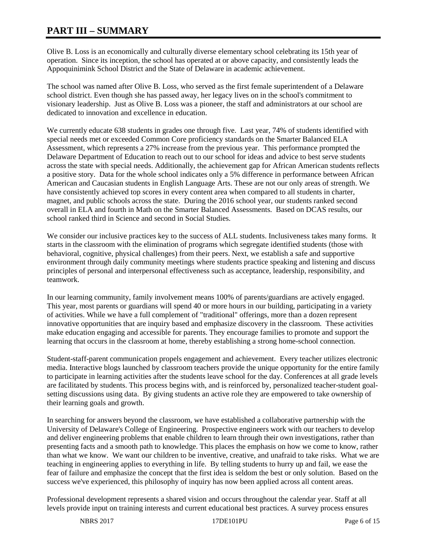# **PART III – SUMMARY**

Olive B. Loss is an economically and culturally diverse elementary school celebrating its 15th year of operation. Since its inception, the school has operated at or above capacity, and consistently leads the Appoquinimink School District and the State of Delaware in academic achievement.

The school was named after Olive B. Loss, who served as the first female superintendent of a Delaware school district. Even though she has passed away, her legacy lives on in the school's commitment to visionary leadership. Just as Olive B. Loss was a pioneer, the staff and administrators at our school are dedicated to innovation and excellence in education.

We currently educate 638 students in grades one through five. Last year, 74% of students identified with special needs met or exceeded Common Core proficiency standards on the Smarter Balanced ELA Assessment, which represents a 27% increase from the previous year. This performance prompted the Delaware Department of Education to reach out to our school for ideas and advice to best serve students across the state with special needs. Additionally, the achievement gap for African American students reflects a positive story. Data for the whole school indicates only a 5% difference in performance between African American and Caucasian students in English Language Arts. These are not our only areas of strength. We have consistently achieved top scores in every content area when compared to all students in charter, magnet, and public schools across the state. During the 2016 school year, our students ranked second overall in ELA and fourth in Math on the Smarter Balanced Assessments. Based on DCAS results, our school ranked third in Science and second in Social Studies.

We consider our inclusive practices key to the success of ALL students. Inclusiveness takes many forms. It starts in the classroom with the elimination of programs which segregate identified students (those with behavioral, cognitive, physical challenges) from their peers. Next, we establish a safe and supportive environment through daily community meetings where students practice speaking and listening and discuss principles of personal and interpersonal effectiveness such as acceptance, leadership, responsibility, and teamwork.

In our learning community, family involvement means 100% of parents/guardians are actively engaged. This year, most parents or guardians will spend 40 or more hours in our building, participating in a variety of activities. While we have a full complement of "traditional" offerings, more than a dozen represent innovative opportunities that are inquiry based and emphasize discovery in the classroom. These activities make education engaging and accessible for parents. They encourage families to promote and support the learning that occurs in the classroom at home, thereby establishing a strong home-school connection.

Student-staff-parent communication propels engagement and achievement. Every teacher utilizes electronic media. Interactive blogs launched by classroom teachers provide the unique opportunity for the entire family to participate in learning activities after the students leave school for the day. Conferences at all grade levels are facilitated by students. This process begins with, and is reinforced by, personalized teacher-student goalsetting discussions using data. By giving students an active role they are empowered to take ownership of their learning goals and growth.

In searching for answers beyond the classroom, we have established a collaborative partnership with the University of Delaware's College of Engineering. Prospective engineers work with our teachers to develop and deliver engineering problems that enable children to learn through their own investigations, rather than presenting facts and a smooth path to knowledge. This places the emphasis on how we come to know, rather than what we know. We want our children to be inventive, creative, and unafraid to take risks. What we are teaching in engineering applies to everything in life. By telling students to hurry up and fail, we ease the fear of failure and emphasize the concept that the first idea is seldom the best or only solution. Based on the success we've experienced, this philosophy of inquiry has now been applied across all content areas.

Professional development represents a shared vision and occurs throughout the calendar year. Staff at all levels provide input on training interests and current educational best practices. A survey process ensures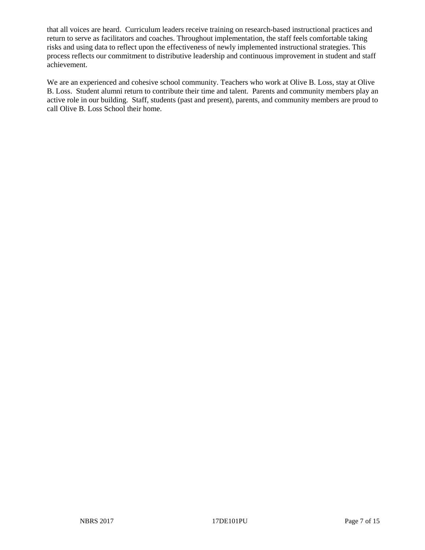that all voices are heard. Curriculum leaders receive training on research-based instructional practices and return to serve as facilitators and coaches. Throughout implementation, the staff feels comfortable taking risks and using data to reflect upon the effectiveness of newly implemented instructional strategies. This process reflects our commitment to distributive leadership and continuous improvement in student and staff achievement.

We are an experienced and cohesive school community. Teachers who work at Olive B. Loss, stay at Olive B. Loss. Student alumni return to contribute their time and talent. Parents and community members play an active role in our building. Staff, students (past and present), parents, and community members are proud to call Olive B. Loss School their home.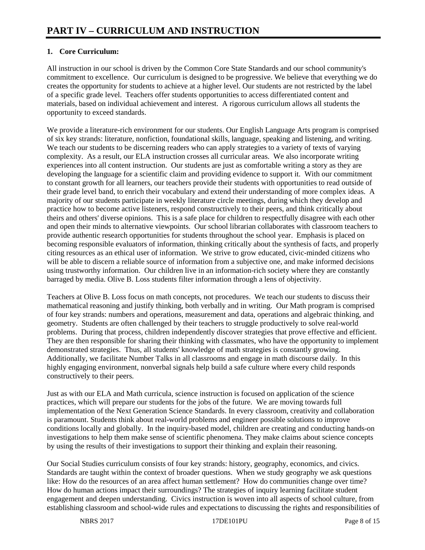# **1. Core Curriculum:**

All instruction in our school is driven by the Common Core State Standards and our school community's commitment to excellence. Our curriculum is designed to be progressive. We believe that everything we do creates the opportunity for students to achieve at a higher level. Our students are not restricted by the label of a specific grade level. Teachers offer students opportunities to access differentiated content and materials, based on individual achievement and interest. A rigorous curriculum allows all students the opportunity to exceed standards.

We provide a literature-rich environment for our students. Our English Language Arts program is comprised of six key strands: literature, nonfiction, foundational skills, language, speaking and listening, and writing. We teach our students to be discerning readers who can apply strategies to a variety of texts of varying complexity. As a result, our ELA instruction crosses all curricular areas. We also incorporate writing experiences into all content instruction. Our students are just as comfortable writing a story as they are developing the language for a scientific claim and providing evidence to support it. With our commitment to constant growth for all learners, our teachers provide their students with opportunities to read outside of their grade level band, to enrich their vocabulary and extend their understanding of more complex ideas. A majority of our students participate in weekly literature circle meetings, during which they develop and practice how to become active listeners, respond constructively to their peers, and think critically about theirs and others' diverse opinions. This is a safe place for children to respectfully disagree with each other and open their minds to alternative viewpoints. Our school librarian collaborates with classroom teachers to provide authentic research opportunities for students throughout the school year. Emphasis is placed on becoming responsible evaluators of information, thinking critically about the synthesis of facts, and properly citing resources as an ethical user of information. We strive to grow educated, civic-minded citizens who will be able to discern a reliable source of information from a subjective one, and make informed decisions using trustworthy information. Our children live in an information-rich society where they are constantly barraged by media. Olive B. Loss students filter information through a lens of objectivity.

Teachers at Olive B. Loss focus on math concepts, not procedures. We teach our students to discuss their mathematical reasoning and justify thinking, both verbally and in writing. Our Math program is comprised of four key strands: numbers and operations, measurement and data, operations and algebraic thinking, and geometry. Students are often challenged by their teachers to struggle productively to solve real-world problems. During that process, children independently discover strategies that prove effective and efficient. They are then responsible for sharing their thinking with classmates, who have the opportunity to implement demonstrated strategies. Thus, all students' knowledge of math strategies is constantly growing. Additionally, we facilitate Number Talks in all classrooms and engage in math discourse daily. In this highly engaging environment, nonverbal signals help build a safe culture where every child responds constructively to their peers.

Just as with our ELA and Math curricula, science instruction is focused on application of the science practices, which will prepare our students for the jobs of the future. We are moving towards full implementation of the Next Generation Science Standards. In every classroom, creativity and collaboration is paramount. Students think about real-world problems and engineer possible solutions to improve conditions locally and globally. In the inquiry-based model, children are creating and conducting hands-on investigations to help them make sense of scientific phenomena. They make claims about science concepts by using the results of their investigations to support their thinking and explain their reasoning.

Our Social Studies curriculum consists of four key strands: history, geography, economics, and civics. Standards are taught within the context of broader questions. When we study geography we ask questions like: How do the resources of an area affect human settlement? How do communities change over time? How do human actions impact their surroundings? The strategies of inquiry learning facilitate student engagement and deepen understanding. Civics instruction is woven into all aspects of school culture, from establishing classroom and school-wide rules and expectations to discussing the rights and responsibilities of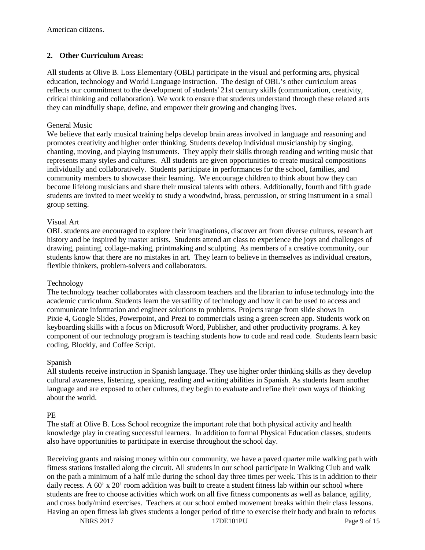## **2. Other Curriculum Areas:**

All students at Olive B. Loss Elementary (OBL) participate in the visual and performing arts, physical education, technology and World Language instruction. The design of OBL's other curriculum areas reflects our commitment to the development of students' 21st century skills (communication, creativity, critical thinking and collaboration). We work to ensure that students understand through these related arts they can mindfully shape, define, and empower their growing and changing lives.

### General Music

We believe that early musical training helps develop brain areas involved in language and reasoning and promotes creativity and higher order thinking. Students develop individual musicianship by singing, chanting, moving, and playing instruments. They apply their skills through reading and writing music that represents many styles and cultures. All students are given opportunities to create musical compositions individually and collaboratively. Students participate in performances for the school, families, and community members to showcase their learning. We encourage children to think about how they can become lifelong musicians and share their musical talents with others. Additionally, fourth and fifth grade students are invited to meet weekly to study a woodwind, brass, percussion, or string instrument in a small group setting.

#### Visual Art

OBL students are encouraged to explore their imaginations, discover art from diverse cultures, research art history and be inspired by master artists. Students attend art class to experience the joys and challenges of drawing, painting, collage-making, printmaking and sculpting. As members of a creative community, our students know that there are no mistakes in art. They learn to believe in themselves as individual creators, flexible thinkers, problem-solvers and collaborators.

#### Technology

The technology teacher collaborates with classroom teachers and the librarian to infuse technology into the academic curriculum. Students learn the versatility of technology and how it can be used to access and communicate information and engineer solutions to problems. Projects range from slide shows in Pixie 4, Google Slides, Powerpoint, and Prezi to commercials using a green screen app. Students work on keyboarding skills with a focus on Microsoft Word, Publisher, and other productivity programs. A key component of our technology program is teaching students how to code and read code. Students learn basic coding, Blockly, and Coffee Script.

#### Spanish

All students receive instruction in Spanish language. They use higher order thinking skills as they develop cultural awareness, listening, speaking, reading and writing abilities in Spanish. As students learn another language and are exposed to other cultures, they begin to evaluate and refine their own ways of thinking about the world.

#### PE

The staff at Olive B. Loss School recognize the important role that both physical activity and health knowledge play in creating successful learners. In addition to formal Physical Education classes, students also have opportunities to participate in exercise throughout the school day.

Receiving grants and raising money within our community, we have a paved quarter mile walking path with fitness stations installed along the circuit. All students in our school participate in Walking Club and walk on the path a minimum of a half mile during the school day three times per week. This is in addition to their daily recess. A 60' x 20' room addition was built to create a student fitness lab within our school where students are free to choose activities which work on all five fitness components as well as balance, agility, and cross body/mind exercises. Teachers at our school embed movement breaks within their class lessons. Having an open fitness lab gives students a longer period of time to exercise their body and brain to refocus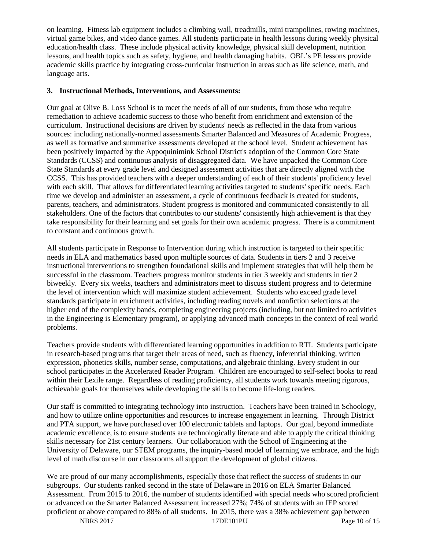on learning. Fitness lab equipment includes a climbing wall, treadmills, mini trampolines, rowing machines, virtual game bikes, and video dance games. All students participate in health lessons during weekly physical education/health class. These include physical activity knowledge, physical skill development, nutrition lessons, and health topics such as safety, hygiene, and health damaging habits. OBL's PE lessons provide academic skills practice by integrating cross-curricular instruction in areas such as life science, math, and language arts.

#### **3. Instructional Methods, Interventions, and Assessments:**

Our goal at Olive B. Loss School is to meet the needs of all of our students, from those who require remediation to achieve academic success to those who benefit from enrichment and extension of the curriculum. Instructional decisions are driven by students' needs as reflected in the data from various sources: including nationally-normed assessments Smarter Balanced and Measures of Academic Progress, as well as formative and summative assessments developed at the school level. Student achievement has been positively impacted by the Appoquinimink School District's adoption of the Common Core State Standards (CCSS) and continuous analysis of disaggregated data. We have unpacked the Common Core State Standards at every grade level and designed assessment activities that are directly aligned with the CCSS. This has provided teachers with a deeper understanding of each of their students' proficiency level with each skill. That allows for differentiated learning activities targeted to students' specific needs. Each time we develop and administer an assessment, a cycle of continuous feedback is created for students, parents, teachers, and administrators. Student progress is monitored and communicated consistently to all stakeholders. One of the factors that contributes to our students' consistently high achievement is that they take responsibility for their learning and set goals for their own academic progress. There is a commitment to constant and continuous growth.

All students participate in Response to Intervention during which instruction is targeted to their specific needs in ELA and mathematics based upon multiple sources of data. Students in tiers 2 and 3 receive instructional interventions to strengthen foundational skills and implement strategies that will help them be successful in the classroom. Teachers progress monitor students in tier 3 weekly and students in tier 2 biweekly. Every six weeks, teachers and administrators meet to discuss student progress and to determine the level of intervention which will maximize student achievement. Students who exceed grade level standards participate in enrichment activities, including reading novels and nonfiction selections at the higher end of the complexity bands, completing engineering projects (including, but not limited to activities in the Engineering is Elementary program), or applying advanced math concepts in the context of real world problems.

Teachers provide students with differentiated learning opportunities in addition to RTI. Students participate in research-based programs that target their areas of need, such as fluency, inferential thinking, written expression, phonetics skills, number sense, computations, and algebraic thinking. Every student in our school participates in the Accelerated Reader Program. Children are encouraged to self-select books to read within their Lexile range. Regardless of reading proficiency, all students work towards meeting rigorous, achievable goals for themselves while developing the skills to become life-long readers.

Our staff is committed to integrating technology into instruction. Teachers have been trained in Schoology, and how to utilize online opportunities and resources to increase engagement in learning. Through District and PTA support, we have purchased over 100 electronic tablets and laptops. Our goal, beyond immediate academic excellence, is to ensure students are technologically literate and able to apply the critical thinking skills necessary for 21st century learners. Our collaboration with the School of Engineering at the University of Delaware, our STEM programs, the inquiry-based model of learning we embrace, and the high level of math discourse in our classrooms all support the development of global citizens.

We are proud of our many accomplishments, especially those that reflect the success of students in our subgroups. Our students ranked second in the state of Delaware in 2016 on ELA Smarter Balanced Assessment. From 2015 to 2016, the number of students identified with special needs who scored proficient or advanced on the Smarter Balanced Assessment increased 27%; 74% of students with an IEP scored proficient or above compared to 88% of all students. In 2015, there was a 38% achievement gap between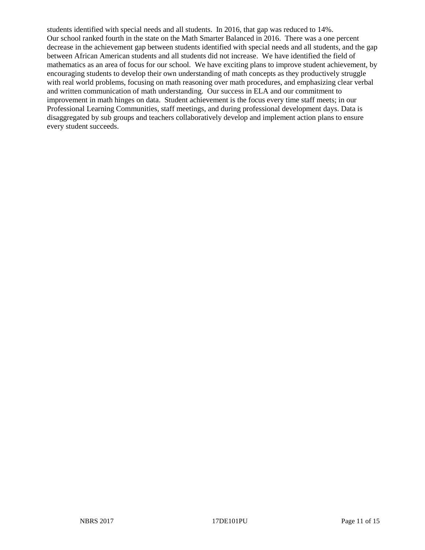students identified with special needs and all students. In 2016, that gap was reduced to 14%. Our school ranked fourth in the state on the Math Smarter Balanced in 2016. There was a one percent decrease in the achievement gap between students identified with special needs and all students, and the gap between African American students and all students did not increase. We have identified the field of mathematics as an area of focus for our school. We have exciting plans to improve student achievement, by encouraging students to develop their own understanding of math concepts as they productively struggle with real world problems, focusing on math reasoning over math procedures, and emphasizing clear verbal and written communication of math understanding. Our success in ELA and our commitment to improvement in math hinges on data. Student achievement is the focus every time staff meets; in our Professional Learning Communities, staff meetings, and during professional development days. Data is disaggregated by sub groups and teachers collaboratively develop and implement action plans to ensure every student succeeds.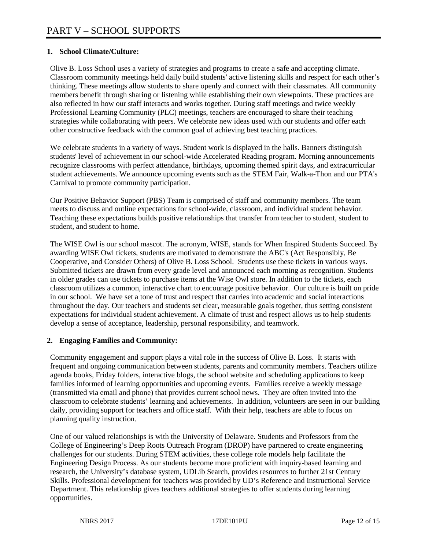## **1. School Climate/Culture:**

Olive B. Loss School uses a variety of strategies and programs to create a safe and accepting climate. Classroom community meetings held daily build students' active listening skills and respect for each other's thinking. These meetings allow students to share openly and connect with their classmates. All community members benefit through sharing or listening while establishing their own viewpoints. These practices are also reflected in how our staff interacts and works together. During staff meetings and twice weekly Professional Learning Community (PLC) meetings, teachers are encouraged to share their teaching strategies while collaborating with peers. We celebrate new ideas used with our students and offer each other constructive feedback with the common goal of achieving best teaching practices.

We celebrate students in a variety of ways. Student work is displayed in the halls. Banners distinguish students' level of achievement in our school-wide Accelerated Reading program. Morning announcements recognize classrooms with perfect attendance, birthdays, upcoming themed spirit days, and extracurricular student achievements. We announce upcoming events such as the STEM Fair, Walk-a-Thon and our PTA's Carnival to promote community participation.

Our Positive Behavior Support (PBS) Team is comprised of staff and community members. The team meets to discuss and outline expectations for school-wide, classroom, and individual student behavior. Teaching these expectations builds positive relationships that transfer from teacher to student, student to student, and student to home.

The WISE Owl is our school mascot. The acronym, WISE, stands for When Inspired Students Succeed. By awarding WISE Owl tickets, students are motivated to demonstrate the ABC's (Act Responsibly, Be Cooperative, and Consider Others) of Olive B. Loss School. Students use these tickets in various ways. Submitted tickets are drawn from every grade level and announced each morning as recognition. Students in older grades can use tickets to purchase items at the Wise Owl store. In addition to the tickets, each classroom utilizes a common, interactive chart to encourage positive behavior. Our culture is built on pride in our school. We have set a tone of trust and respect that carries into academic and social interactions throughout the day. Our teachers and students set clear, measurable goals together, thus setting consistent expectations for individual student achievement. A climate of trust and respect allows us to help students develop a sense of acceptance, leadership, personal responsibility, and teamwork.

## **2. Engaging Families and Community:**

Community engagement and support plays a vital role in the success of Olive B. Loss. It starts with frequent and ongoing communication between students, parents and community members. Teachers utilize agenda books, Friday folders, interactive blogs, the school website and scheduling applications to keep families informed of learning opportunities and upcoming events. Families receive a weekly message (transmitted via email and phone) that provides current school news. They are often invited into the classroom to celebrate students' learning and achievements. In addition, volunteers are seen in our building daily, providing support for teachers and office staff. With their help, teachers are able to focus on planning quality instruction.

One of our valued relationships is with the University of Delaware. Students and Professors from the College of Engineering's Deep Roots Outreach Program (DROP) have partnered to create engineering challenges for our students. During STEM activities, these college role models help facilitate the Engineering Design Process. As our students become more proficient with inquiry-based learning and research, the University's database system, UDLib Search, provides resources to further 21st Century Skills. Professional development for teachers was provided by UD's Reference and Instructional Service Department. This relationship gives teachers additional strategies to offer students during learning opportunities.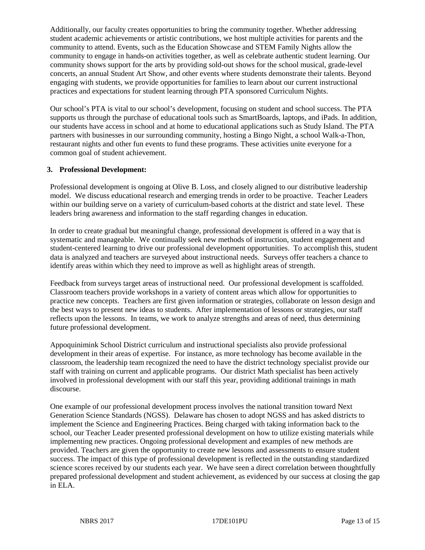Additionally, our faculty creates opportunities to bring the community together. Whether addressing student academic achievements or artistic contributions, we host multiple activities for parents and the community to attend. Events, such as the Education Showcase and STEM Family Nights allow the community to engage in hands-on activities together, as well as celebrate authentic student learning. Our community shows support for the arts by providing sold-out shows for the school musical, grade-level concerts, an annual Student Art Show, and other events where students demonstrate their talents. Beyond engaging with students, we provide opportunities for families to learn about our current instructional practices and expectations for student learning through PTA sponsored Curriculum Nights.

Our school's PTA is vital to our school's development, focusing on student and school success. The PTA supports us through the purchase of educational tools such as SmartBoards, laptops, and iPads. In addition, our students have access in school and at home to educational applications such as Study Island. The PTA partners with businesses in our surrounding community, hosting a Bingo Night, a school Walk-a-Thon, restaurant nights and other fun events to fund these programs. These activities unite everyone for a common goal of student achievement.

#### **3. Professional Development:**

Professional development is ongoing at Olive B. Loss, and closely aligned to our distributive leadership model. We discuss educational research and emerging trends in order to be proactive. Teacher Leaders within our building serve on a variety of curriculum-based cohorts at the district and state level. These leaders bring awareness and information to the staff regarding changes in education.

In order to create gradual but meaningful change, professional development is offered in a way that is systematic and manageable. We continually seek new methods of instruction, student engagement and student-centered learning to drive our professional development opportunities. To accomplish this, student data is analyzed and teachers are surveyed about instructional needs. Surveys offer teachers a chance to identify areas within which they need to improve as well as highlight areas of strength.

Feedback from surveys target areas of instructional need. Our professional development is scaffolded. Classroom teachers provide workshops in a variety of content areas which allow for opportunities to practice new concepts. Teachers are first given information or strategies, collaborate on lesson design and the best ways to present new ideas to students. After implementation of lessons or strategies, our staff reflects upon the lessons. In teams, we work to analyze strengths and areas of need, thus determining future professional development.

Appoquinimink School District curriculum and instructional specialists also provide professional development in their areas of expertise. For instance, as more technology has become available in the classroom, the leadership team recognized the need to have the district technology specialist provide our staff with training on current and applicable programs. Our district Math specialist has been actively involved in professional development with our staff this year, providing additional trainings in math discourse.

One example of our professional development process involves the national transition toward Next Generation Science Standards (NGSS). Delaware has chosen to adopt NGSS and has asked districts to implement the Science and Engineering Practices. Being charged with taking information back to the school, our Teacher Leader presented professional development on how to utilize existing materials while implementing new practices. Ongoing professional development and examples of new methods are provided. Teachers are given the opportunity to create new lessons and assessments to ensure student success. The impact of this type of professional development is reflected in the outstanding standardized science scores received by our students each year. We have seen a direct correlation between thoughtfully prepared professional development and student achievement, as evidenced by our success at closing the gap in ELA.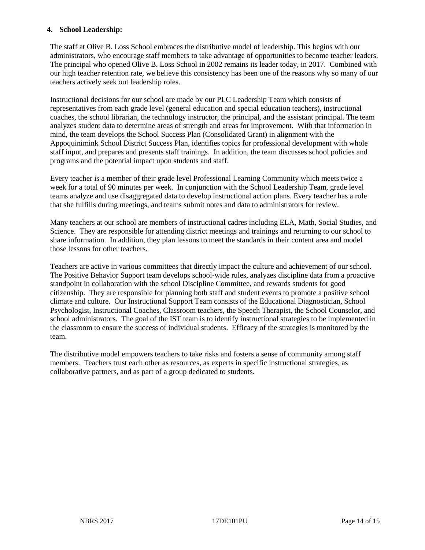#### **4. School Leadership:**

The staff at Olive B. Loss School embraces the distributive model of leadership. This begins with our administrators, who encourage staff members to take advantage of opportunities to become teacher leaders. The principal who opened Olive B. Loss School in 2002 remains its leader today, in 2017. Combined with our high teacher retention rate, we believe this consistency has been one of the reasons why so many of our teachers actively seek out leadership roles.

Instructional decisions for our school are made by our PLC Leadership Team which consists of representatives from each grade level (general education and special education teachers), instructional coaches, the school librarian, the technology instructor, the principal, and the assistant principal. The team analyzes student data to determine areas of strength and areas for improvement. With that information in mind, the team develops the School Success Plan (Consolidated Grant) in alignment with the Appoquinimink School District Success Plan, identifies topics for professional development with whole staff input, and prepares and presents staff trainings. In addition, the team discusses school policies and programs and the potential impact upon students and staff.

Every teacher is a member of their grade level Professional Learning Community which meets twice a week for a total of 90 minutes per week. In conjunction with the School Leadership Team, grade level teams analyze and use disaggregated data to develop instructional action plans. Every teacher has a role that she fulfills during meetings, and teams submit notes and data to administrators for review.

Many teachers at our school are members of instructional cadres including ELA, Math, Social Studies, and Science. They are responsible for attending district meetings and trainings and returning to our school to share information. In addition, they plan lessons to meet the standards in their content area and model those lessons for other teachers.

Teachers are active in various committees that directly impact the culture and achievement of our school. The Positive Behavior Support team develops school-wide rules, analyzes discipline data from a proactive standpoint in collaboration with the school Discipline Committee, and rewards students for good citizenship. They are responsible for planning both staff and student events to promote a positive school climate and culture. Our Instructional Support Team consists of the Educational Diagnostician, School Psychologist, Instructional Coaches, Classroom teachers, the Speech Therapist, the School Counselor, and school administrators. The goal of the IST team is to identify instructional strategies to be implemented in the classroom to ensure the success of individual students. Efficacy of the strategies is monitored by the team.

The distributive model empowers teachers to take risks and fosters a sense of community among staff members. Teachers trust each other as resources, as experts in specific instructional strategies, as collaborative partners, and as part of a group dedicated to students.